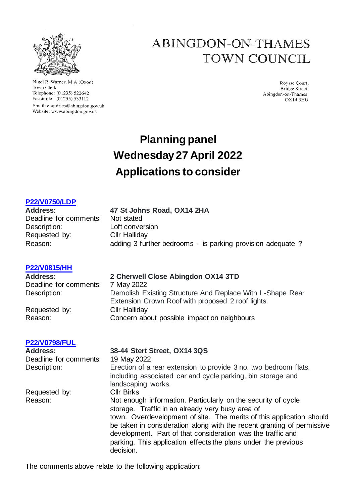

Nigel E. Warner, M.A.(Oxon) Town Clerk Telephone: (01235) 522642 Facsimile: (01235) 533112 Email: enquiries@abingdon.gov.uk Website: www.abingdon.gov.uk

## ABINGDON-ON-THAMES TOWN COUNCIL

Roysse Court. Bridge Street, Abingdon-on-Thames.  $OX143H11$ 

# **Planning panel Wednesday27 April 2022 Applications to consider**

## **[P22/V0750/LDP](https://data.whitehorsedc.gov.uk/java/support/Main.jsp?MODULE=ApplicationDetails&REF=P22/V0750/LDP)**

## **Address: 47 St Johns Road, OX14 2HA** Deadline for comments: Not stated Description: Loft conversion Requested by: Cllr Halliday Reason: adding 3 further bedrooms - is parking provision adequate ?

## **[P22/V0815/HH](https://data.whitehorsedc.gov.uk/java/support/Main.jsp?MODULE=ApplicationDetails&REF=P22/V0815/HH)**

Deadline for comments: 7 May 2022

Requested by: Cllr Halliday

## **[P22/V0798/FUL](https://data.whitehorsedc.gov.uk/java/support/Main.jsp?MODULE=ApplicationDetails&REF=P22/V0798/FUL)**

Deadline for comments: 19 May 2022

## **Address: 2 Cherwell Close Abingdon OX14 3TD**

Description: Demolish Existing Structure And Replace With L-Shape Rear Extension Crown Roof with proposed 2 roof lights. Reason: Concern about possible impact on neighbours

## **Address: 38-44 Stert Street, OX14 3QS**

Description: Erection of a rear extension to provide 3 no. two bedroom flats, including associated car and cycle parking, bin storage and landscaping works. Requested by: Cllr Birks Reason: Not enough information. Particularly on the security of cycle storage. Traffic in an already very busy area of town. Overdevelopment of site. The merits of this application should be taken in consideration along with the recent granting of permissive development. Part of that consideration was the traffic and parking. This application effects the plans under the previous decision.

The comments above relate to the following application: